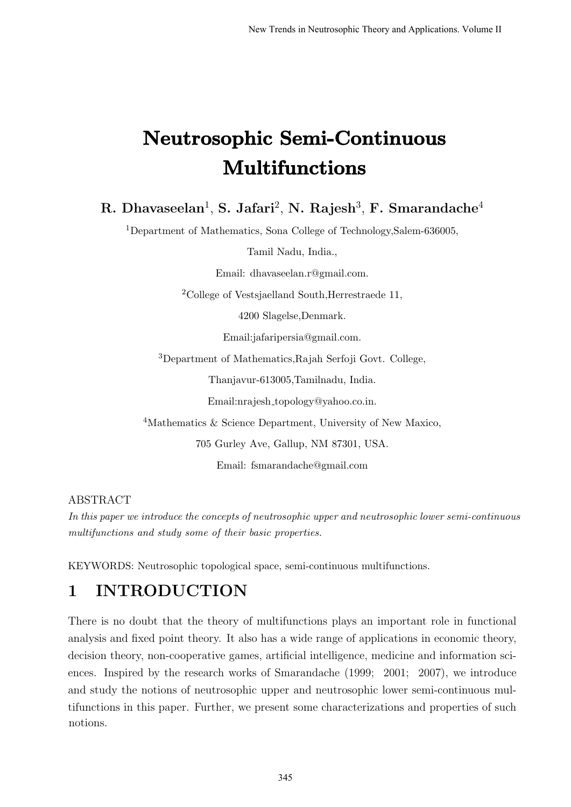# Neutrosophic Semi-Continuous Multifunctions

### R. Dhavaseelan $^1$ , S. Jafari $^2$ , N. Rajesh $^3$ , F. Smarandache $^4$

<sup>1</sup>Department of Mathematics, Sona College of Technology,Salem-636005,

Tamil Nadu, India.,

Email: dhavaseelan.r@gmail.com.

<sup>2</sup>College of Vestsjaelland South, Herrestraede 11,

4200 Slagelse,Denmark.

Email:jafaripersia@gmail.com.

<sup>3</sup>Department of Mathematics,Rajah Serfoji Govt. College,

Thanjavur-613005,Tamilnadu, India.

Email:nrajesh topology@yahoo.co.in.

<sup>4</sup>Mathematics & Science Department, University of New Maxico,

705 Gurley Ave, Gallup, NM 87301, USA.

Email: fsmarandache@gmail.com

#### ABSTRACT

In this paper we introduce the concepts of neutrosophic upper and neutrosophic lower semi-continuous multifunctions and study some of their basic properties.

KEYWORDS: Neutrosophic topological space, semi-continuous multifunctions.

#### 1 INTRODUCTION

There is no doubt that the theory of multifunctions plays an important role in functional analysis and fixed point theory. It also has a wide range of applications in economic theory, decision theory, non-cooperative games, artificial intelligence, medicine and information sciences. Inspired by the research works of Smarandache (1999; 2001; 2007), we introduce and study the notions of neutrosophic upper and neutrosophic lower semi-continuous multifunctions in this paper. Further, we present some characterizations and properties of such notions.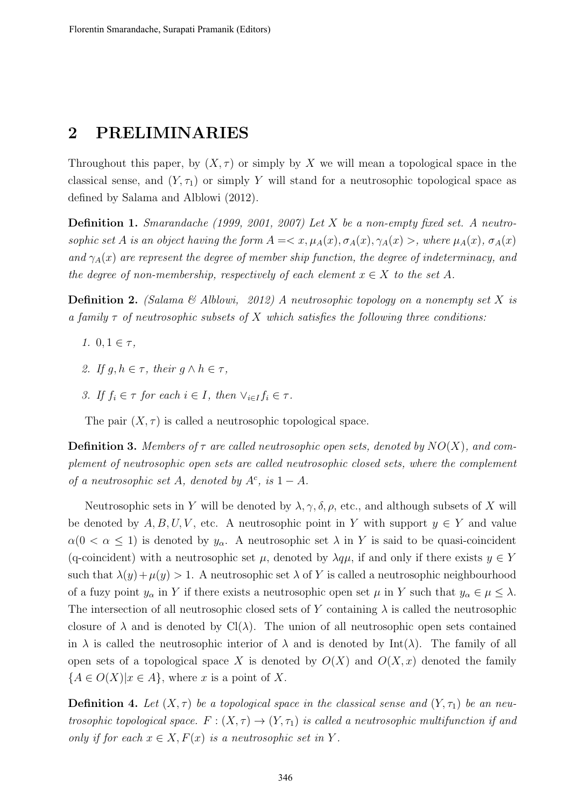#### 2 PRELIMINARIES

Throughout this paper, by  $(X, \tau)$  or simply by X we will mean a topological space in the classical sense, and  $(Y, \tau_1)$  or simply Y will stand for a neutrosophic topological space as defined by Salama and Alblowi (2012).

Definition 1. Smarandache (1999, 2001, 2007) Let X be a non-empty fixed set. A neutrosophic set A is an object having the form  $A = \langle x, \mu_A(x), \sigma_A(x), \gamma_A(x) \rangle$ , where  $\mu_A(x), \sigma_A(x)$ and  $\gamma_A(x)$  are represent the degree of member ship function, the degree of indeterminacy, and the degree of non-membership, respectively of each element  $x \in X$  to the set A.

**Definition 2.** (Salama & Alblowi, 2012) A neutrosophic topology on a nonempty set X is a family  $\tau$  of neutrosophic subsets of X which satisfies the following three conditions:

- 1.  $0, 1 \in \tau$ ,
- 2. If  $g, h \in \tau$ , their  $g \wedge h \in \tau$ ,
- 3. If  $f_i \in \tau$  for each  $i \in I$ , then  $\vee_{i \in I} f_i \in \tau$ .

The pair  $(X, \tau)$  is called a neutrosophic topological space.

**Definition 3.** Members of  $\tau$  are called neutrosophic open sets, denoted by  $NO(X)$ , and complement of neutrosophic open sets are called neutrosophic closed sets, where the complement of a neutrosophic set A, denoted by  $A^c$ , is  $1 - A$ .

Neutrosophic sets in Y will be denoted by  $\lambda$ ,  $\gamma$ ,  $\delta$ ,  $\rho$ , etc., and although subsets of X will be denoted by  $A, B, U, V$ , etc. A neutrosophic point in Y with support  $y \in Y$  and value  $\alpha(0 < \alpha \leq 1)$  is denoted by  $y_{\alpha}$ . A neutrosophic set  $\lambda$  in Y is said to be quasi-coincident (q-coincident) with a neutrosophic set  $\mu$ , denoted by  $\lambda q\mu$ , if and only if there exists  $y \in Y$ such that  $\lambda(y)+\mu(y) > 1$ . A neutrosophic set  $\lambda$  of Y is called a neutrosophic neighbourhood of a fuzy point  $y_\alpha$  in Y if there exists a neutrosophic open set  $\mu$  in Y such that  $y_\alpha \in \mu \leq \lambda$ . The intersection of all neutrosophic closed sets of Y containing  $\lambda$  is called the neutrosophic closure of  $\lambda$  and is denoted by Cl( $\lambda$ ). The union of all neutrosophic open sets contained in  $\lambda$  is called the neutrosophic interior of  $\lambda$  and is denoted by Int( $\lambda$ ). The family of all open sets of a topological space X is denoted by  $O(X)$  and  $O(X, x)$  denoted the family  ${A \in O(X)|x \in A}$ , where x is a point of X.

**Definition 4.** Let  $(X, \tau)$  be a topological space in the classical sense and  $(Y, \tau)$  be an neutrosophic topological space.  $F: (X, \tau) \to (Y, \tau_1)$  is called a neutrosophic multifunction if and only if for each  $x \in X, F(x)$  is a neutrosophic set in Y.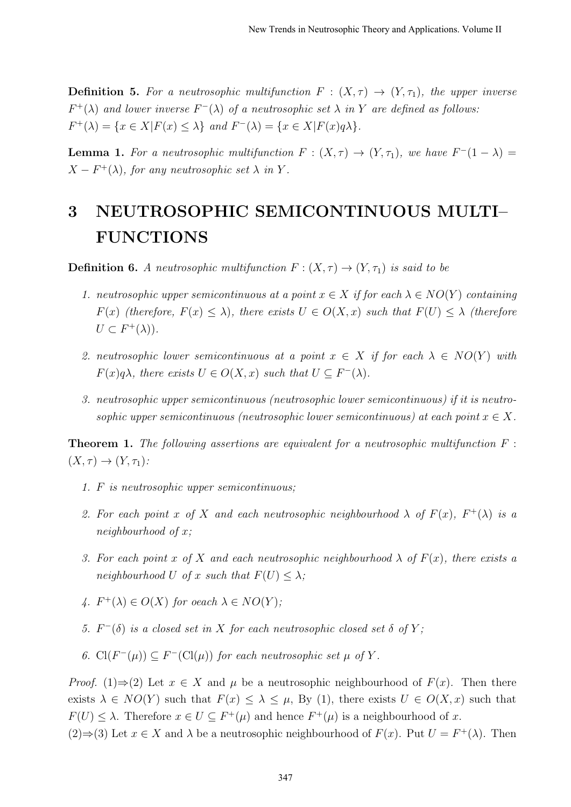**Definition 5.** For a neutrosophic multifunction  $F : (X, \tau) \to (Y, \tau_1)$ , the upper inverse  $F^+(\lambda)$  and lower inverse  $F^-(\lambda)$  of a neutrosophic set  $\lambda$  in Y are defined as follows:  $F^+(\lambda) = \{x \in X | F(x) \leq \lambda\}$  and  $F^-(\lambda) = \{x \in X | F(x)q\lambda\}.$ 

**Lemma 1.** For a neutrosophic multifunction  $F : (X, \tau) \to (Y, \tau_1)$ , we have  $F^{-}(1 - \lambda) =$  $X-F^+(\lambda)$ , for any neutrosophic set  $\lambda$  in Y.

## 3 NEUTROSOPHIC SEMICONTINUOUS MULTI– FUNCTIONS

**Definition 6.** A neutrosophic multifunction  $F : (X, \tau) \to (Y, \tau_1)$  is said to be

- 1. neutrosophic upper semicontinuous at a point  $x \in X$  if for each  $\lambda \in NO(Y)$  containing  $F(x)$  (therefore,  $F(x) \leq \lambda$ ), there exists  $U \in O(X, x)$  such that  $F(U) \leq \lambda$  (therefore  $U \subset F^+(\lambda)$ ).
- 2. neutrosophic lower semicontinuous at a point  $x \in X$  if for each  $\lambda \in NO(Y)$  with  $F(x)q\lambda$ , there exists  $U \in O(X, x)$  such that  $U \subseteq F^{-}(\lambda)$ .
- 3. neutrosophic upper semicontinuous (neutrosophic lower semicontinuous) if it is neutrosophic upper semicontinuous (neutrosophic lower semicontinuous) at each point  $x \in X$ .

**Theorem 1.** The following assertions are equivalent for a neutrosophic multifunction  $F$ :  $(X, \tau) \rightarrow (Y, \tau_1)$ :

- 1. F is neutrosophic upper semicontinuous;
- 2. For each point x of X and each neutrosophic neighbourhood  $\lambda$  of  $F(x)$ ,  $F^+(\lambda)$  is a neighbourhood of x;
- 3. For each point x of X and each neutrosophic neighbourhood  $\lambda$  of  $F(x)$ , there exists a neighbourhood U of x such that  $F(U) \leq \lambda$ ;
- 4.  $F^+(\lambda) \in O(X)$  for oeach  $\lambda \in NO(Y)$ ;
- 5.  $F^-(\delta)$  is a closed set in X for each neutrosophic closed set  $\delta$  of Y;

6.  $Cl(F^{-}(\mu)) \subseteq F^{-}(Cl(\mu))$  for each neutrosophic set  $\mu$  of Y.

*Proof.* (1)⇒(2) Let  $x \in X$  and  $\mu$  be a neutrosophic neighbourhood of  $F(x)$ . Then there exists  $\lambda \in NO(Y)$  such that  $F(x) \leq \lambda \leq \mu$ , By (1), there exists  $U \in O(X, x)$  such that  $F(U) \leq \lambda$ . Therefore  $x \in U \subseteq F^+(\mu)$  and hence  $F^+(\mu)$  is a neighbourhood of x.

(2)⇒(3) Let  $x \in X$  and  $\lambda$  be a neutrosophic neighbourhood of  $F(x)$ . Put  $U = F^+(\lambda)$ . Then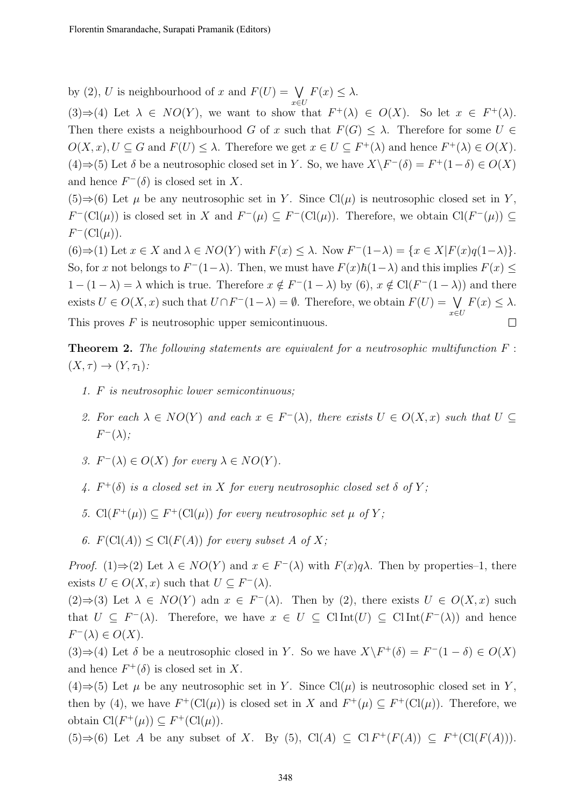by (2), U is neighbourhood of x and  $F(U) = \bigvee$  $F(x) \leq \lambda$ .

x∈U  $(3) \Rightarrow (4)$  Let  $\lambda \in NO(Y)$ , we want to show that  $F^+(\lambda) \in O(X)$ . So let  $x \in F^+(\lambda)$ . Then there exists a neighbourhood G of x such that  $F(G) \leq \lambda$ . Therefore for some  $U \in$  $O(X, x), U \subseteq G$  and  $F(U) \leq \lambda$ . Therefore we get  $x \in U \subseteq F^+(\lambda)$  and hence  $F^+(\lambda) \in O(X)$ . (4)  $\Rightarrow$  (5) Let  $\delta$  be a neutrosophic closed set in Y. So, we have  $X\backslash F^{-}(\delta) = F^{+}(1-\delta) \in O(X)$ and hence  $F^{-}(\delta)$  is closed set in X.

 $(5) \Rightarrow (6)$  Let  $\mu$  be any neutrosophic set in Y. Since Cl( $\mu$ ) is neutrosophic closed set in Y.  $F^{-}(\text{Cl}(\mu))$  is closed set in X and  $F^{-}(\mu) \subseteq F^{-}(\text{Cl}(\mu))$ . Therefore, we obtain  $\text{Cl}(F^{-}(\mu)) \subseteq$  $F^{-}(\mathrm{Cl}(\mu)).$ 

 $(6) \Rightarrow (1)$  Let  $x \in X$  and  $\lambda \in NO(Y)$  with  $F(x) \leq \lambda$ . Now  $F^{-}(1-\lambda) = \{x \in X | F(x)q(1-\lambda)\}.$ So, for x not belongs to  $F^-(1-\lambda)$ . Then, we must have  $F(x)\hbar(1-\lambda)$  and this implies  $F(x) \leq$  $1-(1-\lambda) = \lambda$  which is true. Therefore  $x \notin F^{-}(1-\lambda)$  by (6),  $x \notin \text{Cl}(F^{-}(1-\lambda))$  and there exists  $U \in O(X, x)$  such that  $U \cap F^{-}(1 - \lambda) = \emptyset$ . Therefore, we obtain  $F(U) = \bigvee$  $F(x) \leq \lambda$ . x∈U This proves  $F$  is neutrosophic upper semicontinuous.  $\Box$ 

**Theorem 2.** The following statements are equivalent for a neutrosophic multifunction  $F$ :  $(X, \tau) \rightarrow (Y, \tau_1)$ :

- 1. F is neutrosophic lower semicontinuous;
- 2. For each  $\lambda \in NO(Y)$  and each  $x \in F^{-}(\lambda)$ , there exists  $U \in O(X, x)$  such that  $U \subseteq$  $F^{-}(\lambda);$
- 3.  $F^{-}(\lambda) \in O(X)$  for every  $\lambda \in NO(Y)$ .
- 4.  $F^+(\delta)$  is a closed set in X for every neutrosophic closed set  $\delta$  of Y;
- 5.  $Cl(F^+(\mu)) \subseteq F^+(Cl(\mu))$  for every neutrosophic set  $\mu$  of Y;
- 6.  $F(\text{Cl}(A)) \leq \text{Cl}(F(A))$  for every subset A of X;

*Proof.* (1) $\Rightarrow$  (2) Let  $\lambda \in NO(Y)$  and  $x \in F^{-}(\lambda)$  with  $F(x)q\lambda$ . Then by properties-1, there exists  $U \in O(X, x)$  such that  $U \subseteq F^{-}(\lambda)$ .

 $(2) \Rightarrow (3)$  Let  $\lambda \in NO(Y)$  adn  $x \in F^{-}(\lambda)$ . Then by  $(2)$ , there exists  $U \in O(X, x)$  such that  $U \subseteq F^{-}(\lambda)$ . Therefore, we have  $x \in U \subseteq \text{ClInt}(U) \subseteq \text{ClInt}(F^{-}(\lambda))$  and hence  $F^{-}(\lambda) \in O(X).$ 

(3)⇒(4) Let  $\delta$  be a neutrosophic closed in Y. So we have  $X\ F^+(\delta) = F^-(1-\delta) \in O(X)$ and hence  $F^+(\delta)$  is closed set in X.

(4)⇒(5) Let  $\mu$  be any neutrosophic set in Y. Since Cl( $\mu$ ) is neutrosophic closed set in Y, then by (4), we have  $F^+(\text{Cl}(\mu))$  is closed set in X and  $F^+(\mu) \subseteq F^+(\text{Cl}(\mu))$ . Therefore, we obtain  $\text{Cl}(F^+(\mu)) \subseteq F^+(\text{Cl}(\mu)).$ 

 $(5) \Rightarrow (6)$  Let A be any subset of X. By  $(5)$ , Cl(A)  $\subseteq$  Cl $F^+(F(A)) \subseteq F^+(\text{Cl}(F(A))).$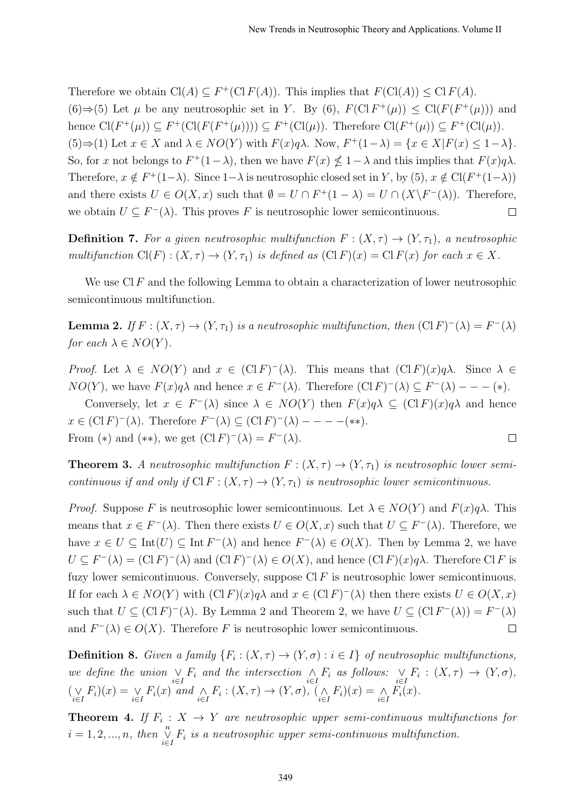Therefore we obtain  $Cl(A) \subseteq F^+(Cl F(A))$ . This implies that  $F(Cl(A)) \leq Cl F(A)$ . (6)⇒(5) Let  $\mu$  be any neutrosophic set in Y. By (6),  $F(\text{Cl } F^+(\mu)) \leq \text{Cl}(F(F^+(\mu)))$  and hence  $Cl(F^+(\mu)) \subseteq F^+(Cl(F^+(\mu))) \subseteq F^+(Cl(\mu))$ . Therefore  $Cl(F^+(\mu)) \subseteq F^+(Cl(\mu))$ . (5)⇒(1) Let  $x \in X$  and  $\lambda \in NO(Y)$  with  $F(x)q\lambda$ . Now,  $F^+(1-\lambda) = \{x \in X | F(x) \leq 1-\lambda\}$ . So, for x not belongs to  $F^+(1-\lambda)$ , then we have  $F(x) \nleq 1-\lambda$  and this implies that  $F(x)q\lambda$ . Therefore,  $x \notin F^+(1-\lambda)$ . Since  $1-\lambda$  is neutrosophic closed set in Y, by (5),  $x \notin \text{Cl}(F^+(1-\lambda))$ and there exists  $U \in O(X, x)$  such that  $\emptyset = U \cap F^+(1 - \lambda) = U \cap (X \backslash F^-(\lambda))$ . Therefore, we obtain  $U \subseteq F^{-}(\lambda)$ . This proves F is neutrosophic lower semicontinuous.  $\Box$ 

**Definition 7.** For a given neutrosophic multifunction  $F : (X, \tau) \to (Y, \tau_1)$ , a neutrosophic multifunction  $Cl(F) : (X, \tau) \to (Y, \tau_1)$  is defined as  $(ClF)(x) = ClF(x)$  for each  $x \in X$ .

We use Cl F and the following Lemma to obtain a characterization of lower neutrosophic semicontinuous multifunction.

**Lemma 2.** If  $F : (X, \tau) \to (Y, \tau_1)$  is a neutrosophic multifunction, then  $(CIF)^-(\lambda) = F^-(\lambda)$ for each  $\lambda \in NO(Y)$ .

Proof. Let  $\lambda \in NO(Y)$  and  $x \in (Cl F)^{-}(\lambda)$ . This means that  $(Cl F)(x)q\lambda$ . Since  $\lambda \in$  $NO(Y)$ , we have  $F(x)q\lambda$  and hence  $x \in F^{-}(\lambda)$ . Therefore  $(ClF)^{+}(\lambda) \subseteq F^{-}(\lambda)$  – – (\*).

Conversely, let  $x \in F^{-}(\lambda)$  since  $\lambda \in NO(Y)$  then  $F(x)q\lambda \subseteq (Cl F)(x)q\lambda$  and hence  $x \in (\text{Cl } F)^-(\lambda)$ . Therefore  $F^-(\lambda) \subseteq (\text{Cl } F)^-(\lambda)$  - - - - (\*\*). From (\*) and (\*\*), we get  $(\text{Cl } F)^{-}(\lambda) = F^{-}(\lambda)$ .  $\Box$ 

**Theorem 3.** A neutrosophic multifunction  $F : (X, \tau) \to (Y, \tau_1)$  is neutrosophic lower semicontinuous if and only if  $Cl F : (X, \tau) \to (Y, \tau_1)$  is neutrosophic lower semicontinuous.

*Proof.* Suppose F is neutrosophic lower semicontinuous. Let  $\lambda \in NO(Y)$  and  $F(x)q\lambda$ . This means that  $x \in F^{-}(\lambda)$ . Then there exists  $U \in O(X, x)$  such that  $U \subseteq F^{-}(\lambda)$ . Therefore, we have  $x \in U \subseteq \text{Int}(U) \subseteq \text{Int } F^-(\lambda)$  and hence  $F^-(\lambda) \in O(X)$ . Then by Lemma 2, we have  $U \subseteq F^{-}(\lambda) = (\text{Cl } F)^{-}(\lambda)$  and  $(\text{Cl } F)^{-}(\lambda) \in O(X)$ , and hence  $(\text{Cl } F)(x)q\lambda$ . Therefore Cl F is fuzy lower semicontinuous. Conversely, suppose  $CIF$  is neutrosophic lower semicontinuous. If for each  $\lambda \in NO(Y)$  with  $(ClF)(x)q\lambda$  and  $x \in (ClF)^{T}(\lambda)$  then there exists  $U \in O(X, x)$ such that  $U \subseteq (\text{Cl } F)^-(\lambda)$ . By Lemma 2 and Theorem 2, we have  $U \subseteq (\text{Cl } F^-(\lambda)) = F^-(\lambda)$ and  $F^{-}(\lambda) \in O(X)$ . Therefore F is neutrosophic lower semicontinuous.  $\Box$ 

**Definition 8.** Given a family  $\{F_i : (X, \tau) \to (Y, \sigma) : i \in I\}$  of neutrosophic multifunctions, we define the union  $\vee_{i\in I} F_i$  and the intersection  $\wedge_{i\in I} F_i$  as follows:  $\vee_{i\in I} F_i : (X,\tau) \to (Y,\sigma)$ ,  $(\bigvee_{i\in I} F_i)(x) = \bigvee_{i\in I} F_i(x)$  and  $\bigwedge_{i\in I} F_i : (X, \tau) \to (Y, \sigma), (\bigwedge_{i\in I} F_i)(x) = \bigwedge_{i\in I} F_i(x)$ .

**Theorem 4.** If  $F_i: X \to Y$  are neutrosophic upper semi-continuous multifunctions for  $i = 1, 2, ..., n$ , then  $\bigvee_{i \in I}^n F_i$  is a neutrosophic upper semi-continuous multifunction.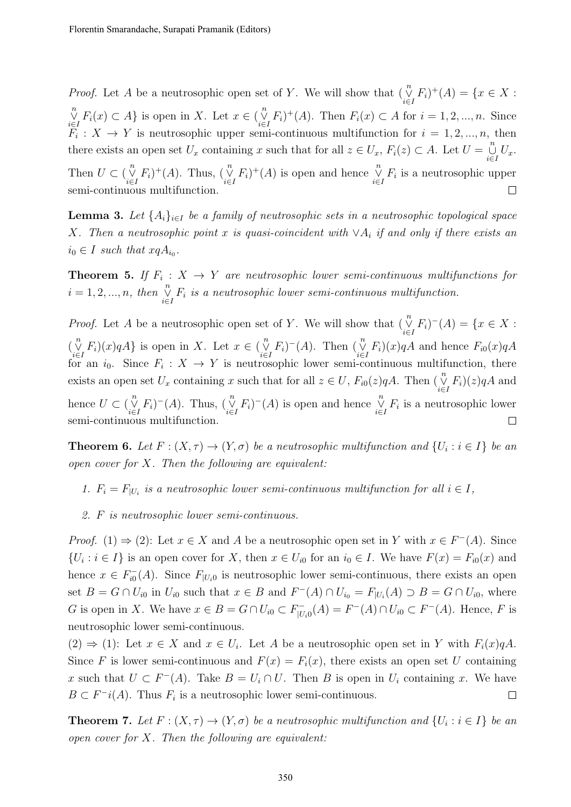*Proof.* Let A be a neutrosophic open set of Y. We will show that  $(\bigvee_{i\in I}^n F_i)^+(A) = \{x \in X :$  $\bigvee_{i\in I}^{n} F_i(x) \subset A$  is open in X. Let  $x \in \bigvee_{i\in I}^{n} F_i$  + (A). Then  $F_i(x) \subset A$  for  $i = 1, 2, ..., n$ . Since  $F_i: X \to Y$  is neutrosophic upper semi-continuous multifunction for  $i = 1, 2, ..., n$ , then there exists an open set  $U_x$  containing x such that for all  $z \in U_x$ ,  $F_i(z) \subset A$ . Let  $U = \bigcup_{i \in I}^n U_x$ . Then  $U \subset (\bigvee_{i \in I}^n F_i)^+(A)$ . Thus,  $(\bigvee_{i \in I}^n F_i)^+(A)$  is open and hence  $\bigvee_{i \in I}^n F_i$  is a neutrosophic upper semi-continuous multifunction.  $\Box$ 

**Lemma 3.** Let  $\{A_i\}_{i\in I}$  be a family of neutrosophic sets in a neutrosophic topological space X. Then a neutrosophic point x is quasi-coincident with  $\vee A_i$  if and only if there exists an  $i_0 \in I$  such that  $xqA_{i_0}$ .

**Theorem 5.** If  $F_i: X \to Y$  are neutrosophic lower semi-continuous multifunctions for  $i = 1, 2, ..., n$ , then  $\bigvee_{i \in I}^n F_i$  is a neutrosophic lower semi-continuous multifunction.

*Proof.* Let A be a neutrosophic open set of Y. We will show that  $(\bigvee_{i\in I}^n F_i)^-(A) = \{x \in X :$  $\left(\bigvee_{i\in I}^{n} F_i\right)(x)qA\}$  is open in X. Let  $x \in \left(\bigvee_{i\in I}^{n} F_i\right)^-(A)$ . Then  $\left(\bigvee_{i\in I}^{n} F_i\right)(x)qA$  and hence  $F_{i0}(x)qA$ for an  $i_0$ . Since  $F_i: X \to Y$  is neutrosophic lower semi-continuous multifunction, there exists an open set  $U_x$  containing x such that for all  $z \in U$ ,  $F_{i0}(z)qA$ . Then  $(\overset{n}{\vee} F_i)(z)qA$  and i∈I hence  $U \subset (\bigvee_{i\in I}^n F_i)^-(A)$ . Thus,  $(\bigvee_{i\in I}^n F_i)^-(A)$  is open and hence  $\bigvee_{i\in I}^n F_i$  is a neutrosophic lower semi-continuous multifunction.  $\Box$ 

**Theorem 6.** Let  $F: (X, \tau) \to (Y, \sigma)$  be a neutrosophic multifunction and  $\{U_i : i \in I\}$  be an open cover for  $X$ . Then the following are equivalent:

- 1.  $F_i = F_{|U_i}$  is a neutrosophic lower semi-continuous multifunction for all  $i \in I$ ,
- 2. F is neutrosophic lower semi-continuous.

*Proof.* (1)  $\Rightarrow$  (2): Let  $x \in X$  and A be a neutrosophic open set in Y with  $x \in F^{-}(A)$ . Since  $\{U_i : i \in I\}$  is an open cover for X, then  $x \in U_{i0}$  for an  $i_0 \in I$ . We have  $F(x) = F_{i0}(x)$  and hence  $x \in F_{i0}^$  $i_{i0}^{-}(A)$ . Since  $F_{|U_i}$  is neutrosophic lower semi-continuous, there exists an open set  $B = G \cap U_{i0}$  in  $U_{i0}$  such that  $x \in B$  and  $F^{-}(A) \cap U_{i0} = F_{|U_i}(A) \supset B = G \cap U_{i0}$ , where G is open in X. We have  $x \in B = G \cap U_{i0} \subset F_{[U]}^ U_{|U_i0}^{-}(A) = F^{-}(A) \cap U_{i0} \subset F^{-}(A)$ . Hence, F is neutrosophic lower semi-continuous.

 $(2) \Rightarrow (1)$ : Let  $x \in X$  and  $x \in U_i$ . Let A be a neutrosophic open set in Y with  $F_i(x)qA$ . Since F is lower semi-continuous and  $F(x) = F_i(x)$ , there exists an open set U containing x such that  $U \subset F^{-}(A)$ . Take  $B = U_i \cap U$ . Then B is open in  $U_i$  containing x. We have  $B \subset F^{-i}(A)$ . Thus  $F_i$  is a neutrosophic lower semi-continuous.  $\Box$ 

**Theorem 7.** Let  $F: (X, \tau) \to (Y, \sigma)$  be a neutrosophic multifunction and  $\{U_i : i \in I\}$  be an open cover for  $X$ . Then the following are equivalent: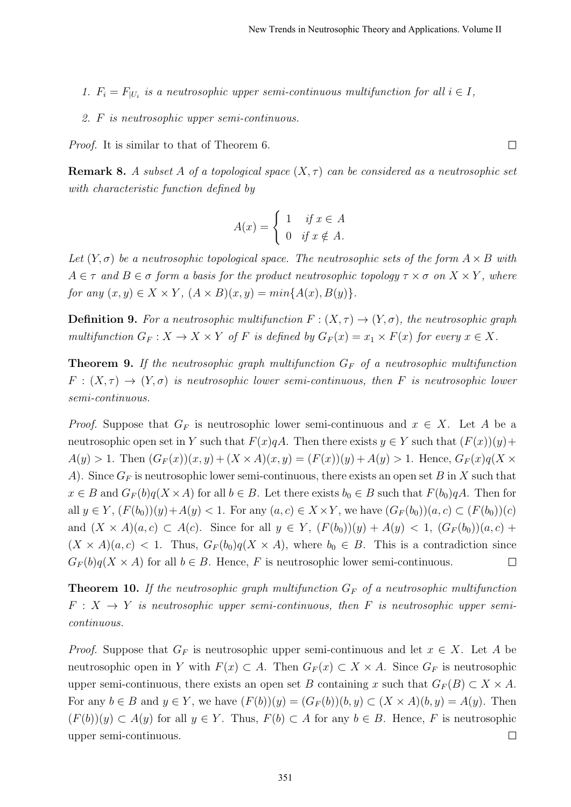- 1.  $F_i = F_{|U_i}$  is a neutrosophic upper semi-continuous multifunction for all  $i \in I$ ,
- 2. F is neutrosophic upper semi-continuous.

Proof. It is similar to that of Theorem 6.

**Remark 8.** A subset A of a topological space  $(X, \tau)$  can be considered as a neutrosophic set with characteristic function defined by

$$
A(x) = \begin{cases} 1 & \text{if } x \in A \\ 0 & \text{if } x \notin A. \end{cases}
$$

Let  $(Y, \sigma)$  be a neutrosophic topological space. The neutrosophic sets of the form  $A \times B$  with  $A \in \tau$  and  $B \in \sigma$  form a basis for the product neutrosophic topology  $\tau \times \sigma$  on  $X \times Y$ , where for any  $(x, y) \in X \times Y$ ,  $(A \times B)(x, y) = min\{A(x), B(y)\}.$ 

**Definition 9.** For a neutrosophic multifunction  $F : (X, \tau) \to (Y, \sigma)$ , the neutrosophic graph multifunction  $G_F: X \to X \times Y$  of F is defined by  $G_F(x) = x_1 \times F(x)$  for every  $x \in X$ .

**Theorem 9.** If the neutrosophic graph multifunction  $G_F$  of a neutrosophic multifunction  $F: (X, \tau) \to (Y, \sigma)$  is neutrosophic lower semi-continuous, then F is neutrosophic lower semi-continuous.

*Proof.* Suppose that  $G_F$  is neutrosophic lower semi-continuous and  $x \in X$ . Let A be a neutrosophic open set in Y such that  $F(x)qA$ . Then there exists  $y \in Y$  such that  $(F(x))(y)$ +  $A(y) > 1$ . Then  $(G_F(x))(x, y) + (X \times A)(x, y) = (F(x))(y) + A(y) > 1$ . Hence,  $G_F(x)q(X \times$ A). Since  $G_F$  is neutrosophic lower semi-continuous, there exists an open set B in X such that  $x \in B$  and  $G_F(b)q(X \times A)$  for all  $b \in B$ . Let there exists  $b_0 \in B$  such that  $F(b_0)qA$ . Then for all  $y \in Y$ ,  $(F(b_0))(y) + A(y) < 1$ . For any  $(a, c) \in X \times Y$ , we have  $(G_F(b_0))(a, c) \subset (F(b_0))(c)$ and  $(X \times A)(a, c) \subset A(c)$ . Since for all  $y \in Y$ ,  $(F(b_0))(y) + A(y) < 1$ ,  $(G_F(b_0))(a, c)$  +  $(X \times A)(a, c) < 1$ . Thus,  $G_F(b_0)q(X \times A)$ , where  $b_0 \in B$ . This is a contradiction since  $G_F(b)q(X \times A)$  for all  $b \in B$ . Hence, F is neutrosophic lower semi-continuous.  $\Box$ 

**Theorem 10.** If the neutrosophic graph multifunction  $G_F$  of a neutrosophic multifunction  $F: X \rightarrow Y$  is neutrosophic upper semi-continuous, then F is neutrosophic upper semicontinuous.

*Proof.* Suppose that  $G_F$  is neutrosophic upper semi-continuous and let  $x \in X$ . Let A be neutrosophic open in Y with  $F(x) \subset A$ . Then  $G_F(x) \subset X \times A$ . Since  $G_F$  is neutrosophic upper semi-continuous, there exists an open set B containing x such that  $G_F(B) \subset X \times A$ . For any  $b \in B$  and  $y \in Y$ , we have  $(F(b))(y) = (G_F(b))(b, y) \subset (X \times A)(b, y) = A(y)$ . Then  $(F(b))(y) \subset A(y)$  for all  $y \in Y$ . Thus,  $F(b) \subset A$  for any  $b \in B$ . Hence, F is neutrosophic upper semi-continuous.  $\Box$ 

 $\Box$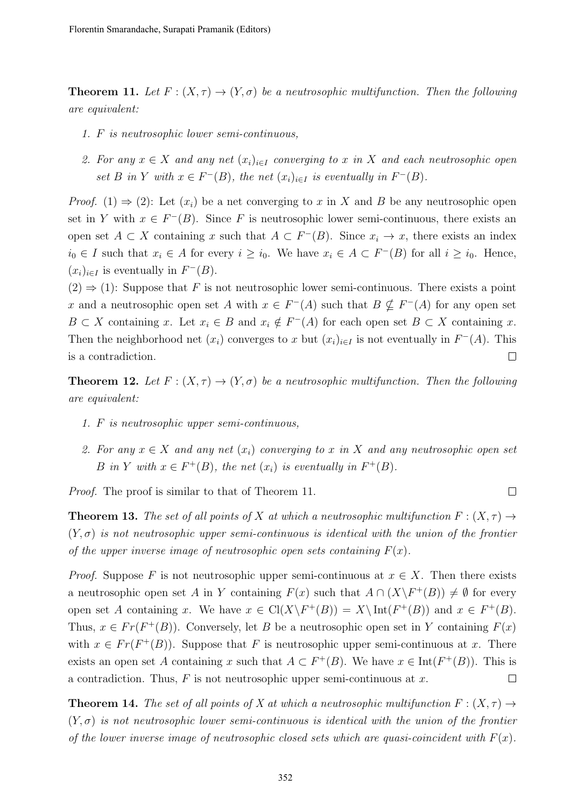**Theorem 11.** Let  $F: (X, \tau) \to (Y, \sigma)$  be a neutrosophic multifunction. Then the following are equivalent:

- 1. F is neutrosophic lower semi-continuous,
- 2. For any  $x \in X$  and any net  $(x_i)_{i \in I}$  converging to x in X and each neutrosophic open set B in Y with  $x \in F^{-}(B)$ , the net  $(x_i)_{i \in I}$  is eventually in  $F^{-}(B)$ .

*Proof.* (1)  $\Rightarrow$  (2): Let  $(x_i)$  be a net converging to x in X and B be any neutrosophic open set in Y with  $x \in F^{-}(B)$ . Since F is neutrosophic lower semi-continuous, there exists an open set  $A \subset X$  containing x such that  $A \subset F^{-1}(B)$ . Since  $x_i \to x$ , there exists an index  $i_0 \in I$  such that  $x_i \in A$  for every  $i \geq i_0$ . We have  $x_i \in A \subset F^{-1}(B)$  for all  $i \geq i_0$ . Hence,  $(x_i)_{i\in I}$  is eventually in  $F^-(B)$ .

 $(2) \Rightarrow (1)$ : Suppose that F is not neutrosophic lower semi-continuous. There exists a point x and a neutrosophic open set A with  $x \in F^{-}(A)$  such that  $B \nsubseteq F^{-}(A)$  for any open set  $B \subset X$  containing x. Let  $x_i \in B$  and  $x_i \notin F^{-}(A)$  for each open set  $B \subset X$  containing x. Then the neighborhood net  $(x_i)$  converges to x but  $(x_i)_{i\in I}$  is not eventually in  $F^{-}(A)$ . This is a contradiction.  $\Box$ 

**Theorem 12.** Let  $F : (X, \tau) \to (Y, \sigma)$  be a neutrosophic multifunction. Then the following are equivalent:

- 1. F is neutrosophic upper semi-continuous,
- 2. For any  $x \in X$  and any net  $(x_i)$  converging to x in X and any neutrosophic open set B in Y with  $x \in F^+(B)$ , the net  $(x_i)$  is eventually in  $F^+(B)$ .

 $\Box$ 

Proof. The proof is similar to that of Theorem 11.

**Theorem 13.** The set of all points of X at which a neutrosophic multifunction  $F: (X, \tau) \rightarrow$  $(Y, \sigma)$  is not neutrosophic upper semi-continuous is identical with the union of the frontier of the upper inverse image of neutrosophic open sets containing  $F(x)$ .

*Proof.* Suppose F is not neutrosophic upper semi-continuous at  $x \in X$ . Then there exists a neutrosophic open set A in Y containing  $F(x)$  such that  $A \cap (X \backslash F^+(B)) \neq \emptyset$  for every open set A containing x. We have  $x \in \text{Cl}(X \backslash F^+(B)) = X \backslash \text{Int}(F^+(B))$  and  $x \in F^+(B)$ . Thus,  $x \in Fr(F^+(B))$ . Conversely, let B be a neutrosophic open set in Y containing  $F(x)$ with  $x \in Fr(F^+(B))$ . Suppose that F is neutrosophic upper semi-continuous at x. There exists an open set A containing x such that  $A \subset F^+(B)$ . We have  $x \in \text{Int}(F^+(B))$ . This is a contradiction. Thus,  $F$  is not neutrosophic upper semi-continuous at  $x$ .  $\Box$ 

**Theorem 14.** The set of all points of X at which a neutrosophic multifunction  $F : (X, \tau) \rightarrow$  $(Y, \sigma)$  is not neutrosophic lower semi-continuous is identical with the union of the frontier of the lower inverse image of neutrosophic closed sets which are quasi-coincident with  $F(x)$ .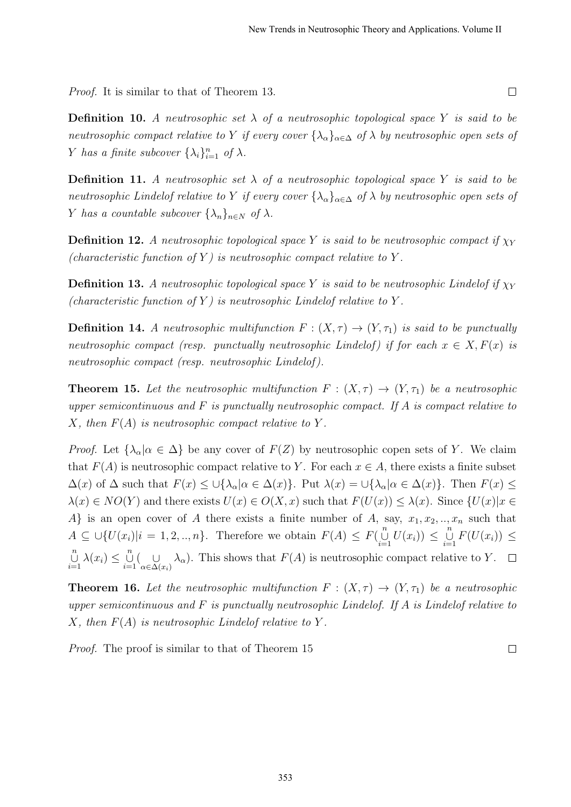Proof. It is similar to that of Theorem 13.

**Definition 10.** A neutrosophic set  $\lambda$  of a neutrosophic topological space Y is said to be neutrosophic compact relative to Y if every cover  $\{\lambda_{\alpha}\}_{{\alpha\in\Delta}}$  of  $\lambda$  by neutrosophic open sets of Y has a finite subcover  $\{\lambda_i\}_{i=1}^n$  of  $\lambda$ .

**Definition 11.** A neutrosophic set  $\lambda$  of a neutrosophic topological space Y is said to be neutrosophic Lindelof relative to Y if every cover  $\{\lambda_{\alpha}\}_{{\alpha\in\Delta}}$  of  $\lambda$  by neutrosophic open sets of Y has a countable subcover  $\{\lambda_n\}_{n\in\mathbb{N}}$  of  $\lambda$ .

**Definition 12.** A neutrosophic topological space Y is said to be neutrosophic compact if  $\chi_Y$ (characteristic function of Y) is neutrosophic compact relative to Y.

**Definition 13.** A neutrosophic topological space Y is said to be neutrosophic Lindelof if  $\chi_Y$ (characteristic function of Y) is neutrosophic Lindelof relative to Y.

**Definition 14.** A neutrosophic multifunction  $F : (X, \tau) \to (Y, \tau)$  is said to be punctually neutrosophic compact (resp. punctually neutrosophic Lindelof) if for each  $x \in X, F(x)$  is neutrosophic compact (resp. neutrosophic Lindelof ).

**Theorem 15.** Let the neutrosophic multifunction  $F : (X, \tau) \to (Y, \tau)$  be a neutrosophic upper semicontinuous and  $F$  is punctually neutrosophic compact. If  $A$  is compact relative to X, then  $F(A)$  is neutrosophic compact relative to Y.

*Proof.* Let  $\{\lambda_{\alpha} | \alpha \in \Delta\}$  be any cover of  $F(Z)$  by neutrosophic copen sets of Y. We claim that  $F(A)$  is neutrosophic compact relative to Y. For each  $x \in A$ , there exists a finite subset  $\Delta(x)$  of  $\Delta$  such that  $F(x) \leq \bigcup {\lambda_{\alpha}|\alpha \in \Delta(x)}$ . Put  $\lambda(x) = \bigcup {\lambda_{\alpha}|\alpha \in \Delta(x)}$ . Then  $F(x) \leq \lambda(x)$  $\lambda(x) \in NO(Y)$  and there exists  $U(x) \in O(X, x)$  such that  $F(U(x)) \leq \lambda(x)$ . Since  $\{U(x)|x \in$ A} is an open cover of A there exists a finite number of A, say,  $x_1, x_2, \ldots, x_n$  such that  $A \subseteq \bigcup \{U(x_i)|i = 1, 2, ..., n\}$ . Therefore we obtain  $F(A) \leq F\left(\bigcup_{i=1}^{n} U(x_i)\right) \leq \bigcup_{i=1}^{n} F(U(x_i)) \leq$  $\bigcup_{i=1}^n \lambda(x_i) \leq \bigcup_{i=1}^n \left(\bigcup_{\alpha \in \Delta} \{1\}\right)$  $\bigcup_{\alpha \in \Delta(x_i)} \lambda_\alpha$ ). This shows that  $F(A)$  is neutrosophic compact relative to Y.

**Theorem 16.** Let the neutrosophic multifunction  $F : (X, \tau) \to (Y, \tau)$  be a neutrosophic upper semicontinuous and  $F$  is punctually neutrosophic Lindelof. If A is Lindelof relative to  $X$ , then  $F(A)$  is neutrosophic Lindelof relative to Y.

Proof. The proof is similar to that of Theorem 15

 $\Box$